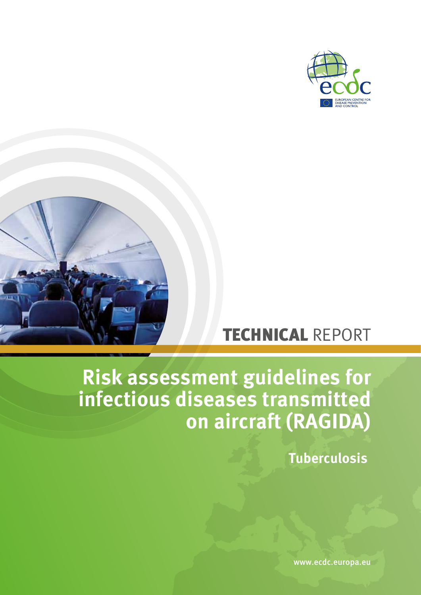



# TECHNICAL REPORT

# **Risk assessment guidelines for infectious diseases transmitted on aircraft (RAGIDA)**

**Tuberculosis**

www.ecdc.europa.eu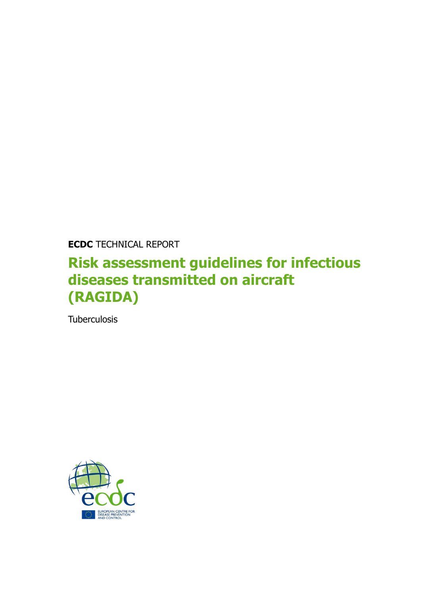**ECDC** TECHNICAL REPORT

## **Risk assessment guidelines for infectious diseases transmitted on aircraft (RAGIDA)**

**Tuberculosis** 

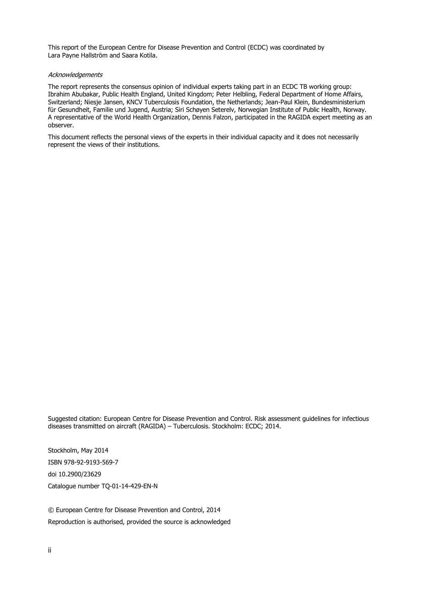This report of the European Centre for Disease Prevention and Control (ECDC) was coordinated by Lara Payne Hallström and Saara Kotila.

#### **Acknowledgements**

The report represents the consensus opinion of individual experts taking part in an ECDC TB working group: Ibrahim Abubakar, Public Health England, United Kingdom; Peter Helbling, Federal Department of Home Affairs, Switzerland; Niesje Jansen, KNCV Tuberculosis Foundation, the Netherlands; Jean-Paul Klein, Bundesministerium für Gesundheit, Familie und Jugend, Austria; Siri Schøyen Seterelv, Norwegian Institute of Public Health, Norway. A representative of the World Health Organization, Dennis Falzon, participated in the RAGIDA expert meeting as an observer.

This document reflects the personal views of the experts in their individual capacity and it does not necessarily represent the views of their institutions.

Suggested citation: European Centre for Disease Prevention and Control. Risk assessment guidelines for infectious diseases transmitted on aircraft (RAGIDA) – Tuberculosis. Stockholm: ECDC; 2014.

Stockholm, May 2014 ISBN 978-92-9193-569-7 doi 10.2900/23629 Catalogue number TQ-01-14-429-EN-N

© European Centre for Disease Prevention and Control, 2014 Reproduction is authorised, provided the source is acknowledged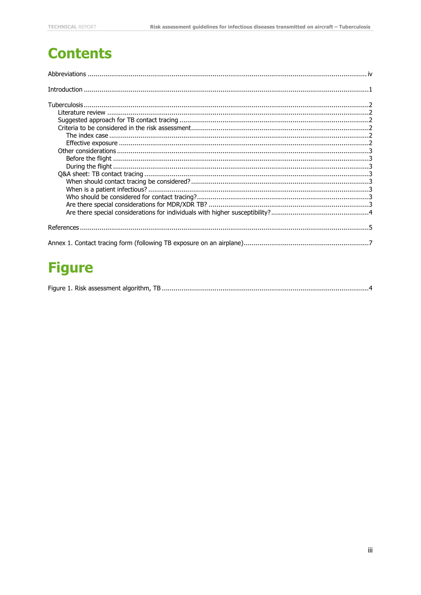### **Contents**

| $\label{prop:1} \textbf{Introduction} \,\, \ldots \,\, \ldots \,\, \ldots \,\, \ldots \,\, \ldots \,\, \ldots \,\, \ldots \,\, \ldots \,\, \ldots \,\, \ldots \,\, \ldots \,\, \ldots \,\, \ldots \,\, \ldots \,\, \ldots \,\, \ldots \,\, \ldots \,\, \ldots \,\, \ldots \,\, \ldots \,\, \ldots \,\, \ldots \,\, \ldots \,\, \ldots \,\, \ldots \,\, \ldots \,\, \ldots \,\, \ldots \,\, \ldots \,\, \ldots \,\, \ldots \,\, \ldots \,\, \ldots \,\, \ldots \,\,$ |  |
|---------------------------------------------------------------------------------------------------------------------------------------------------------------------------------------------------------------------------------------------------------------------------------------------------------------------------------------------------------------------------------------------------------------------------------------------------------------------|--|
|                                                                                                                                                                                                                                                                                                                                                                                                                                                                     |  |
|                                                                                                                                                                                                                                                                                                                                                                                                                                                                     |  |
|                                                                                                                                                                                                                                                                                                                                                                                                                                                                     |  |
|                                                                                                                                                                                                                                                                                                                                                                                                                                                                     |  |
|                                                                                                                                                                                                                                                                                                                                                                                                                                                                     |  |
|                                                                                                                                                                                                                                                                                                                                                                                                                                                                     |  |
|                                                                                                                                                                                                                                                                                                                                                                                                                                                                     |  |
|                                                                                                                                                                                                                                                                                                                                                                                                                                                                     |  |
|                                                                                                                                                                                                                                                                                                                                                                                                                                                                     |  |
|                                                                                                                                                                                                                                                                                                                                                                                                                                                                     |  |
|                                                                                                                                                                                                                                                                                                                                                                                                                                                                     |  |
|                                                                                                                                                                                                                                                                                                                                                                                                                                                                     |  |
|                                                                                                                                                                                                                                                                                                                                                                                                                                                                     |  |
|                                                                                                                                                                                                                                                                                                                                                                                                                                                                     |  |
|                                                                                                                                                                                                                                                                                                                                                                                                                                                                     |  |
|                                                                                                                                                                                                                                                                                                                                                                                                                                                                     |  |
|                                                                                                                                                                                                                                                                                                                                                                                                                                                                     |  |
|                                                                                                                                                                                                                                                                                                                                                                                                                                                                     |  |

## **Figure**

|--|--|--|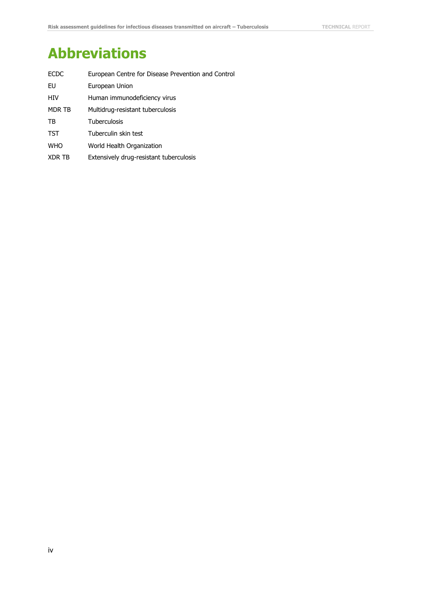## <span id="page-4-0"></span>**Abbreviations**

| <b>ECDC</b> | European Centre for Disease Prevention and Control |
|-------------|----------------------------------------------------|
| EU          | European Union                                     |
| HIV         | Human immunodeficiency virus                       |
| MDR TB      | Multidrug-resistant tuberculosis                   |
| TB          | <b>Tuberculosis</b>                                |
| <b>TST</b>  | Tuberculin skin test                               |
| <b>WHO</b>  | World Health Organization                          |
| XDR TB      | Extensively drug-resistant tuberculosis            |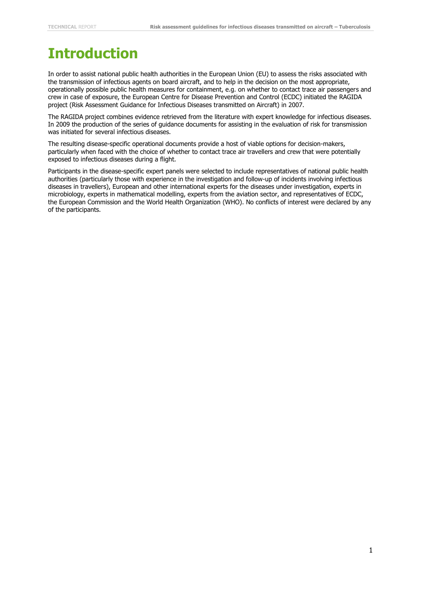## <span id="page-5-0"></span>**Introduction**

In order to assist national public health authorities in the European Union (EU) to assess the risks associated with the transmission of infectious agents on board aircraft, and to help in the decision on the most appropriate, operationally possible public health measures for containment, e.g. on whether to contact trace air passengers and crew in case of exposure, the European Centre for Disease Prevention and Control (ECDC) initiated the RAGIDA project (Risk Assessment Guidance for Infectious Diseases transmitted on Aircraft) in 2007.

The RAGIDA project combines evidence retrieved from the literature with expert knowledge for infectious diseases. In 2009 the production of the series of guidance documents for assisting in the evaluation of risk for transmission was initiated for several infectious diseases.

The resulting disease-specific operational documents provide a host of viable options for decision-makers, particularly when faced with the choice of whether to contact trace air travellers and crew that were potentially exposed to infectious diseases during a flight.

Participants in the disease-specific expert panels were selected to include representatives of national public health authorities (particularly those with experience in the investigation and follow-up of incidents involving infectious diseases in travellers), European and other international experts for the diseases under investigation, experts in microbiology, experts in mathematical modelling, experts from the aviation sector, and representatives of ECDC, the European Commission and the World Health Organization (WHO). No conflicts of interest were declared by any of the participants.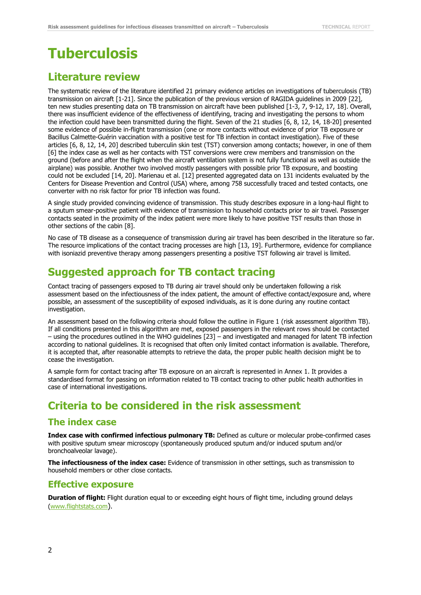## <span id="page-6-0"></span>**Tuberculosis**

### <span id="page-6-1"></span>**Literature review**

The systematic review of the literature identified 21 primary evidence articles on investigations of tuberculosis (TB) transmission on aircraft [1-21]. Since the publication of the previous version of RAGIDA guidelines in 2009 [22], ten new studies presenting data on TB transmission on aircraft have been published [1-3, 7, 9-12, 17, 18]. Overall, there was insufficient evidence of the effectiveness of identifying, tracing and investigating the persons to whom the infection could have been transmitted during the flight. Seven of the 21 studies [6, 8, 12, 14, 18-20] presented some evidence of possible in-flight transmission (one or more contacts without evidence of prior TB exposure or Bacillus Calmette-Guérin vaccination with a positive test for TB infection in contact investigation). Five of these articles [6, 8, 12, 14, 20] described tuberculin skin test (TST) conversion among contacts; however, in one of them [6] the index case as well as her contacts with TST conversions were crew members and transmission on the ground (before and after the flight when the aircraft ventilation system is not fully functional as well as outside the airplane) was possible. Another two involved mostly passengers with possible prior TB exposure, and boosting could not be excluded [14, 20]. Marienau et al. [12] presented aggregated data on 131 incidents evaluated by the Centers for Disease Prevention and Control (USA) where, among 758 successfully traced and tested contacts, one converter with no risk factor for prior TB infection was found.

A single study provided convincing evidence of transmission. This study describes exposure in a long-haul flight to a sputum smear-positive patient with evidence of transmission to household contacts prior to air travel. Passenger contacts seated in the proximity of the index patient were more likely to have positive TST results than those in other sections of the cabin [8].

No case of TB disease as a consequence of transmission during air travel has been described in the literature so far. The resource implications of the contact tracing processes are high [13, 19]. Furthermore, evidence for compliance with isoniazid preventive therapy among passengers presenting a positive TST following air travel is limited.

### <span id="page-6-2"></span>**Suggested approach for TB contact tracing**

Contact tracing of passengers exposed to TB during air travel should only be undertaken following a risk assessment based on the infectiousness of the index patient, the amount of effective contact/exposure and, where possible, an assessment of the susceptibility of exposed individuals, as it is done during any routine contact investigation.

An assessment based on the following criteria should follow the outline in Figure 1 (risk assessment algorithm TB). If all conditions presented in this algorithm are met, exposed passengers in the relevant rows should be contacted – using the procedures outlined in the WHO guidelines [23] – and investigated and managed for latent TB infection according to national guidelines. It is recognised that often only limited contact information is available. Therefore, it is accepted that, after reasonable attempts to retrieve the data, the proper public health decision might be to cease the investigation.

A sample form for contact tracing after TB exposure on an aircraft is represented in Annex 1. It provides a standardised format for passing on information related to TB contact tracing to other public health authorities in case of international investigations.

### <span id="page-6-3"></span>**Criteria to be considered in the risk assessment**

#### <span id="page-6-4"></span>**The index case**

**Index case with confirmed infectious pulmonary TB:** Defined as culture or molecular probe-confirmed cases with positive sputum smear microscopy (spontaneously produced sputum and/or induced sputum and/or bronchoalveolar lavage).

**The infectiousness of the index case:** Evidence of transmission in other settings, such as transmission to household members or other close contacts.

#### <span id="page-6-5"></span>**Effective exposure**

**Duration of flight:** Flight duration equal to or exceeding eight hours of flight time, including ground delays [\(www.flightstats.com](http://www.flightstats.com/)).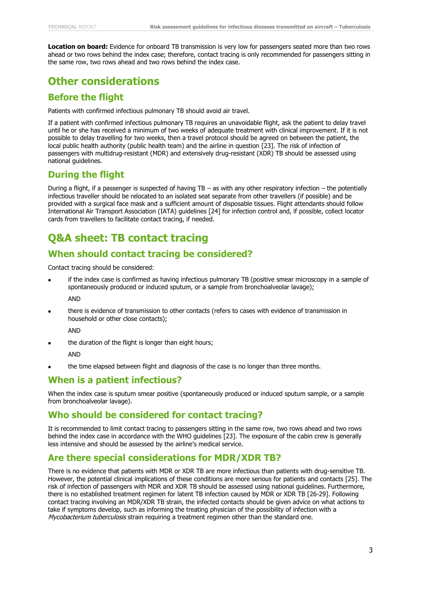**Location on board:** Evidence for onboard TB transmission is very low for passengers seated more than two rows ahead or two rows behind the index case; therefore, contact tracing is only recommended for passengers sitting in the same row, two rows ahead and two rows behind the index case.

### <span id="page-7-0"></span>**Other considerations**

#### <span id="page-7-1"></span>**Before the flight**

Patients with confirmed infectious pulmonary TB should avoid air travel.

If a patient with confirmed infectious pulmonary TB requires an unavoidable flight, ask the patient to delay travel until he or she has received a minimum of two weeks of adequate treatment with clinical improvement. If it is not possible to delay travelling for two weeks, then a travel protocol should be agreed on between the patient, the local public health authority (public health team) and the airline in question [23]. The risk of infection of passengers with multidrug-resistant (MDR) and extensively drug-resistant (XDR) TB should be assessed using national guidelines.

#### <span id="page-7-2"></span>**During the flight**

During a flight, if a passenger is suspected of having TB – as with any other respiratory infection – the potentially infectious traveller should be relocated to an isolated seat separate from other travellers (if possible) and be provided with a surgical face mask and a sufficient amount of disposable tissues. Flight attendants should follow International Air Transport Association (IATA) guidelines [24] for infection control and, if possible, collect locator cards from travellers to facilitate contact tracing, if needed.

### <span id="page-7-3"></span>**Q&A sheet: TB contact tracing**

#### <span id="page-7-4"></span>**When should contact tracing be considered?**

Contact tracing should be considered:

if the index case is confirmed as having infectious pulmonary TB (positive smear microscopy in a sample of spontaneously produced or induced sputum, or a sample from bronchoalveolar lavage);

AND

there is evidence of transmission to other contacts (refers to cases with evidence of transmission in household or other close contacts);

AND

the duration of the flight is longer than eight hours;

AND

the time elapsed between flight and diagnosis of the case is no longer than three months.

#### <span id="page-7-5"></span>**When is a patient infectious?**

When the index case is sputum smear positive (spontaneously produced or induced sputum sample, or a sample from bronchoalveolar lavage).

#### <span id="page-7-6"></span>**Who should be considered for contact tracing?**

It is recommended to limit contact tracing to passengers sitting in the same row, two rows ahead and two rows behind the index case in accordance with the WHO guidelines [23]. The exposure of the cabin crew is generally less intensive and should be assessed by the airline's medical service.

#### <span id="page-7-7"></span>**Are there special considerations for MDR/XDR TB?**

There is no evidence that patients with MDR or XDR TB are more infectious than patients with drug-sensitive TB. However, the potential clinical implications of these conditions are more serious for patients and contacts [25]. The risk of infection of passengers with MDR and XDR TB should be assessed using national guidelines. Furthermore, there is no established treatment regimen for latent TB infection caused by MDR or XDR TB [26-29]. Following contact tracing involving an MDR/XDR TB strain, the infected contacts should be given advice on what actions to take if symptoms develop, such as informing the treating physician of the possibility of infection with a Mycobacterium tuberculosis strain requiring a treatment regimen other than the standard one.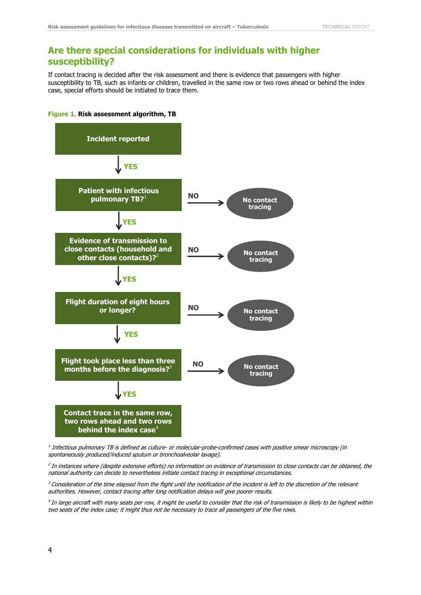#### <span id="page-8-0"></span>**Are there special considerations for individuals with higher susceptibility?**

If contact tracing is decided after the risk assessment and there is evidence that passengers with higher susceptibility to TB, such as infants or children, travelled in the same row or two rows ahead or behind the index case, special efforts should be initiated to trace them.

<span id="page-8-2"></span>



 $^{\rm I}$  Infectious pulmonary TB is defined as culture- or molecular-probe-confirmed cases with positive smear microscopy (in spontaneously produced/induced sputum or bronchoalveolar lavage).

2 In instances where (despite extensive efforts) no information on evidence of transmission to close contacts can be obtained, the national authority can decide to nevertheless initiate contact tracing in exceptional circumstances.

 $3$  Consideration of the time elapsed from the flight until the notification of the incident is left to the discretion of the relevant authorities. However, contact tracing after long notification delays will give poorer results.

<span id="page-8-1"></span>4 In large aircraft with many seats per row, it might be useful to consider that the risk of transmission is likely to be highest within two seats of the index case; it might thus not be necessary to trace all passengers of the five rows.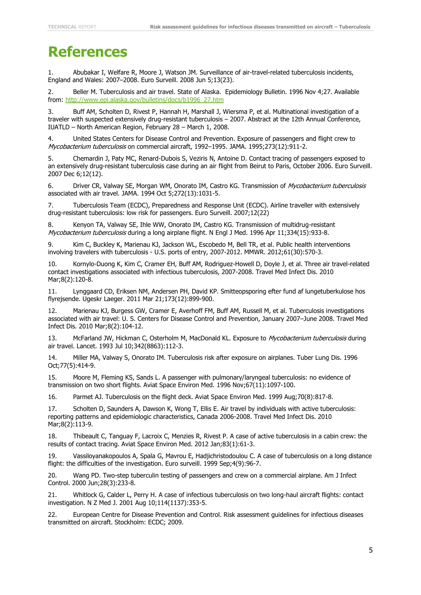## **References**

1. Abubakar I, Welfare R, Moore J, Watson JM. Surveillance of air-travel-related tuberculosis incidents, England and Wales: 2007–2008. Euro Surveill. 2008 Jun 5;13(23).

2. Beller M. Tuberculosis and air travel. State of Alaska. Epidemiology Bulletin. 1996 Nov 4;27. Available from: [http://www.epi.alaska.gov/bulletins/docs/b1996\\_27.htm](http://www.epi.alaska.gov/bulletins/docs/b1996_27.htm)

3. Buff AM, Scholten D, Rivest P, Hannah H, Marshall J, Wiersma P, et al. Multinational investigation of a traveler with suspected extensively drug-resistant tuberculosis – 2007. Abstract at the 12th Annual Conference, IUATLD – North American Region, February 28 – March 1, 2008.

4. United States Centers for Disease Control and Prevention. Exposure of passengers and flight crew to Mycobacterium tuberculosis on commercial aircraft, 1992-1995. JAMA. 1995;273(12):911-2.

5. Chemardin J, Paty MC, Renard-Dubois S, Veziris N, Antoine D. Contact tracing of passengers exposed to an extensively drug-resistant tuberculosis case during an air flight from Beirut to Paris, October 2006. Euro Surveill. 2007 Dec 6;12(12).

6. Driver CR, Valway SE, Morgan WM, Onorato IM, Castro KG. Transmission of Mycobacterium tuberculosis associated with air travel. JAMA. 1994 Oct 5;272(13):1031-5.

7. Tuberculosis Team (ECDC), Preparedness and Response Unit (ECDC). Airline traveller with extensively drug-resistant tuberculosis: low risk for passengers. Euro Surveill. 2007;12(22)

8. Kenyon TA, Valway SE, Ihle WW, Onorato IM, Castro KG. Transmission of multidrug-resistant Mycobacterium tuberculosis during a long airplane flight. N Engl J Med. 1996 Apr 11;334(15):933-8.

9. Kim C, Buckley K, Marienau KJ, Jackson WL, Escobedo M, Bell TR, et al. Public health interventions involving travelers with tuberculosis - U.S. ports of entry, 2007-2012. MMWR. 2012;61(30):570-3.

10. Kornylo-Duong K, Kim C, Cramer EH, Buff AM, Rodriguez-Howell D, Doyle J, et al. Three air travel-related contact investigations associated with infectious tuberculosis, 2007-2008. Travel Med Infect Dis. 2010 Mar;8(2):120-8.

11. Lynggaard CD, Eriksen NM, Andersen PH, David KP. Smitteopsporing efter fund af lungetuberkulose hos flyrejsende. Ugeskr Laeger. 2011 Mar 21;173(12):899-900.

12. Marienau KJ, Burgess GW, Cramer E, Averhoff FM, Buff AM, Russell M, et al. Tuberculosis investigations associated with air travel: U. S. Centers for Disease Control and Prevention, January 2007–June 2008. Travel Med Infect Dis. 2010 Mar;8(2):104-12.

13. McFarland JW, Hickman C, Osterholm M, MacDonald KL. Exposure to *Mycobacterium tuberculosis* during air travel. Lancet. 1993 Jul 10;342(8863):112-3.

14. Miller MA, Valway S, Onorato IM. Tuberculosis risk after exposure on airplanes. Tuber Lung Dis. 1996 Oct;77(5):414-9.

15. Moore M, Fleming KS, Sands L. A passenger with pulmonary/laryngeal tuberculosis: no evidence of transmission on two short flights. Aviat Space Environ Med. 1996 Nov;67(11):1097-100.

16. Parmet AJ. Tuberculosis on the flight deck. Aviat Space Environ Med. 1999 Aug;70(8):817-8.

17. Scholten D, Saunders A, Dawson K, Wong T, Ellis E. Air travel by individuals with active tuberculosis: reporting patterns and epidemiologic characteristics, Canada 2006-2008. Travel Med Infect Dis. 2010 Mar;8(2):113-9.

18. Thibeault C, Tanguay F, Lacroix C, Menzies R, Rivest P. A case of active tuberculosis in a cabin crew: the results of contact tracing. Aviat Space Environ Med. 2012 Jan;83(1):61-3.

19. Vassiloyanakopoulos A, Spala G, Mavrou E, Hadjichristodoulou C. A case of tuberculosis on a long distance flight: the difficulties of the investigation. Euro surveill. 1999 Sep;4(9):96-7.

20. Wang PD. Two-step tuberculin testing of passengers and crew on a commercial airplane. Am J Infect Control. 2000 Jun;28(3):233-8.

21. Whitlock G, Calder L, Perry H. A case of infectious tuberculosis on two long-haul aircraft flights: contact investigation. N Z Med J. 2001 Aug 10;114(1137):353-5.

22. European Centre for Disease Prevention and Control. Risk assessment guidelines for infectious diseases transmitted on aircraft. Stockholm: ECDC; 2009.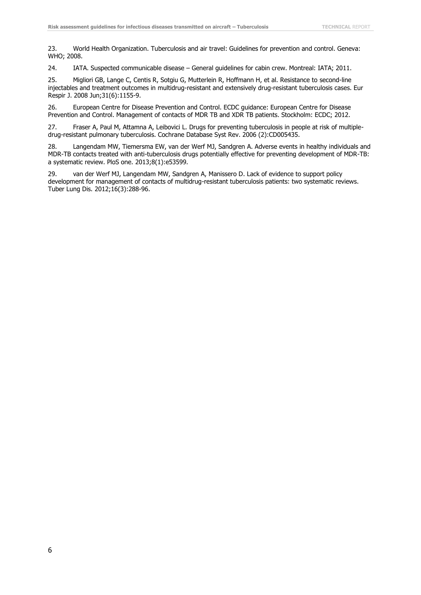23. World Health Organization. Tuberculosis and air travel: Guidelines for prevention and control. Geneva: WHO; 2008.

24. IATA. Suspected communicable disease – General guidelines for cabin crew. Montreal: IATA; 2011.

25. Migliori GB, Lange C, Centis R, Sotgiu G, Mutterlein R, Hoffmann H, et al. Resistance to second-line injectables and treatment outcomes in multidrug-resistant and extensively drug-resistant tuberculosis cases. Eur Respir J. 2008 Jun;31(6):1155-9.

26. European Centre for Disease Prevention and Control. ECDC guidance: European Centre for Disease Prevention and Control. Management of contacts of MDR TB and XDR TB patients. Stockholm: ECDC; 2012.

27. Fraser A, Paul M, Attamna A, Leibovici L. Drugs for preventing tuberculosis in people at risk of multipledrug-resistant pulmonary tuberculosis. Cochrane Database Syst Rev. 2006 (2):CD005435.

28. Langendam MW, Tiemersma EW, van der Werf MJ, Sandgren A. Adverse events in healthy individuals and MDR-TB contacts treated with anti-tuberculosis drugs potentially effective for preventing development of MDR-TB: a systematic review. PloS one. 2013;8(1):e53599.

29. van der Werf MJ, Langendam MW, Sandgren A, Manissero D. Lack of evidence to support policy development for management of contacts of multidrug-resistant tuberculosis patients: two systematic reviews. Tuber Lung Dis. 2012;16(3):288-96.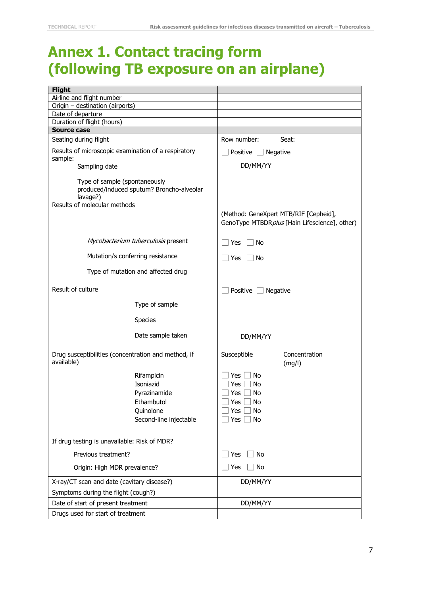### <span id="page-11-0"></span>**Annex 1. Contact tracing form (following TB exposure on an airplane)**

| <b>Flight</b>                                                                          |                                                                                        |
|----------------------------------------------------------------------------------------|----------------------------------------------------------------------------------------|
| Airline and flight number                                                              |                                                                                        |
| Origin - destination (airports)                                                        |                                                                                        |
| Date of departure                                                                      |                                                                                        |
| Duration of flight (hours)                                                             |                                                                                        |
| <b>Source case</b>                                                                     |                                                                                        |
| Seating during flight                                                                  | Row number:<br>Seat:                                                                   |
| Results of microscopic examination of a respiratory<br>sample:                         | Positive<br>Negative                                                                   |
| Sampling date                                                                          | DD/MM/YY                                                                               |
| Type of sample (spontaneously<br>produced/induced sputum? Broncho-alveolar<br>lavage?) |                                                                                        |
| Results of molecular methods                                                           |                                                                                        |
|                                                                                        | (Method: GeneXpert MTB/RIF [Cepheid],<br>GenoType MTBDRplus [Hain Lifescience], other) |
| Mycobacterium tuberculosis present                                                     | ∣ No<br>Yes                                                                            |
| Mutation/s conferring resistance                                                       | Yes<br>No                                                                              |
| Type of mutation and affected drug                                                     |                                                                                        |
| Result of culture                                                                      | Positive  <br>Negative                                                                 |
| Type of sample                                                                         |                                                                                        |
| <b>Species</b>                                                                         |                                                                                        |
| Date sample taken                                                                      | DD/MM/YY                                                                               |
| Drug susceptibilities (concentration and method, if<br>available)                      | Susceptible<br>Concentration<br>(mg/l)                                                 |
| Rifampicin<br>Isoniazid                                                                | Yes<br>No<br>Yes<br>No                                                                 |
| Pyrazinamide                                                                           | Yes<br>No                                                                              |
| Ethambutol                                                                             | $\Box$ No<br>Yes $\lfloor$                                                             |
| Quinolone                                                                              | Yes<br>No                                                                              |
| Second-line injectable                                                                 | No<br>Yes                                                                              |
| If drug testing is unavailable: Risk of MDR?                                           |                                                                                        |
| Previous treatment?                                                                    | No<br>Yes                                                                              |
| Origin: High MDR prevalence?                                                           | No<br>Yes                                                                              |
| X-ray/CT scan and date (cavitary disease?)                                             | DD/MM/YY                                                                               |
| Symptoms during the flight (cough?)                                                    |                                                                                        |
| Date of start of present treatment                                                     | DD/MM/YY                                                                               |
| Drugs used for start of treatment                                                      |                                                                                        |